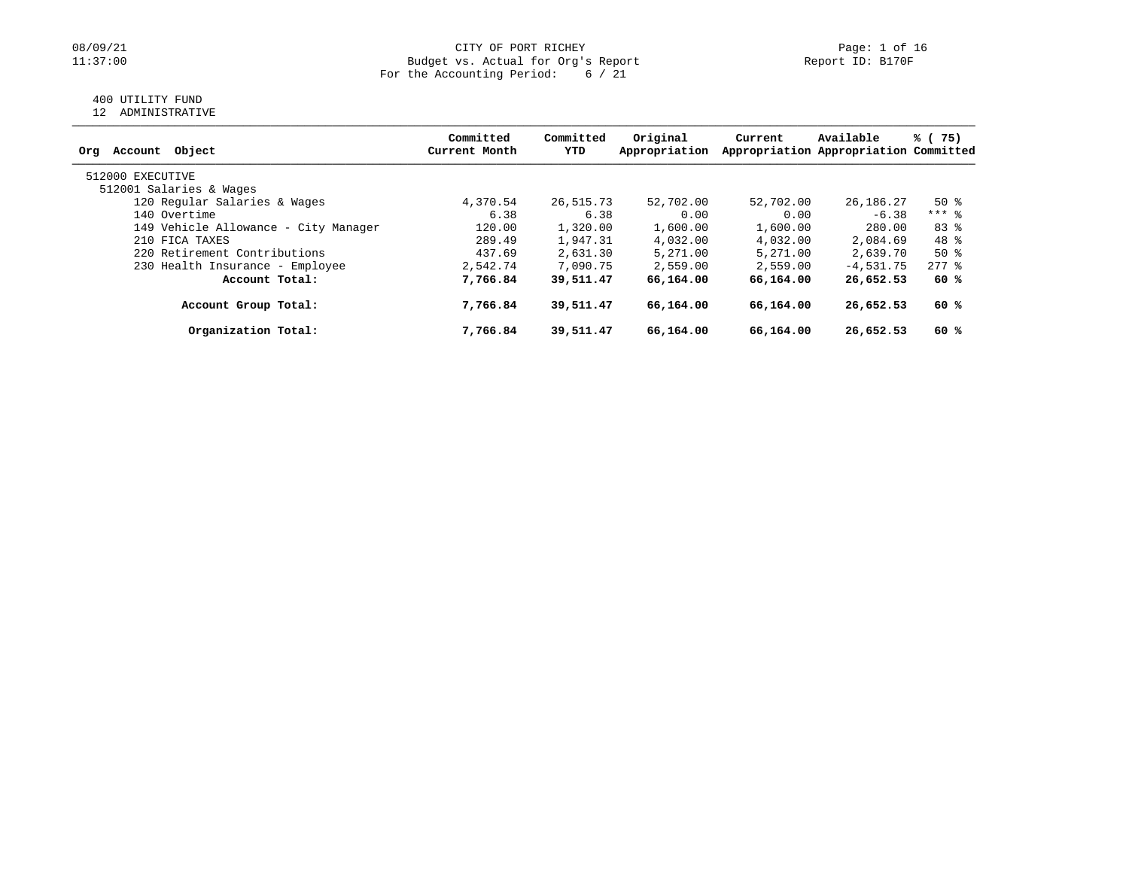### 08/09/21 CITY OF PORT RICHEY Page: 1 of 16 11:37:00 Budget vs. Actual for Org's Report Report ID: B170F For the Accounting Period: 6 / 21

# 400 UTILITY FUND

12 ADMINISTRATIVE

| Account Object<br>Orq                | Committed<br>Current Month | Committed<br>YTD | Original<br>Appropriation | Current   | Available<br>Appropriation Appropriation Committed | % (75)              |
|--------------------------------------|----------------------------|------------------|---------------------------|-----------|----------------------------------------------------|---------------------|
| 512000 EXECUTIVE                     |                            |                  |                           |           |                                                    |                     |
| 512001 Salaries & Wages              |                            |                  |                           |           |                                                    |                     |
| 120 Regular Salaries & Wages         | 4,370.54                   | 26,515.73        | 52,702.00                 | 52,702.00 | 26,186.27                                          | 50 %                |
| 140 Overtime                         | 6.38                       | 6.38             | 0.00                      | 0.00      | $-6.38$                                            | $***$ 8             |
| 149 Vehicle Allowance - City Manager | 120.00                     | 1,320.00         | 1,600.00                  | 1,600.00  | 280.00                                             | 83 %                |
| 210 FICA TAXES                       | 289.49                     | 1,947.31         | 4,032.00                  | 4,032.00  | 2,084.69                                           | 48 %                |
| 220 Retirement Contributions         | 437.69                     | 2,631.30         | 5,271.00                  | 5,271.00  | 2,639.70                                           | $50*$               |
| 230 Health Insurance - Employee      | 2,542.74                   | 7,090.75         | 2,559.00                  | 2,559.00  | $-4.531.75$                                        | $277$ $\frac{6}{5}$ |
| Account Total:                       | 7,766.84                   | 39,511.47        | 66,164.00                 | 66,164.00 | 26,652.53                                          | 60 %                |
| Account Group Total:                 | 7,766.84                   | 39,511.47        | 66,164.00                 | 66,164.00 | 26,652.53                                          | 60 %                |
| Organization Total:                  | 7,766.84                   | 39,511.47        | 66,164.00                 | 66,164.00 | 26,652.53                                          | 60%                 |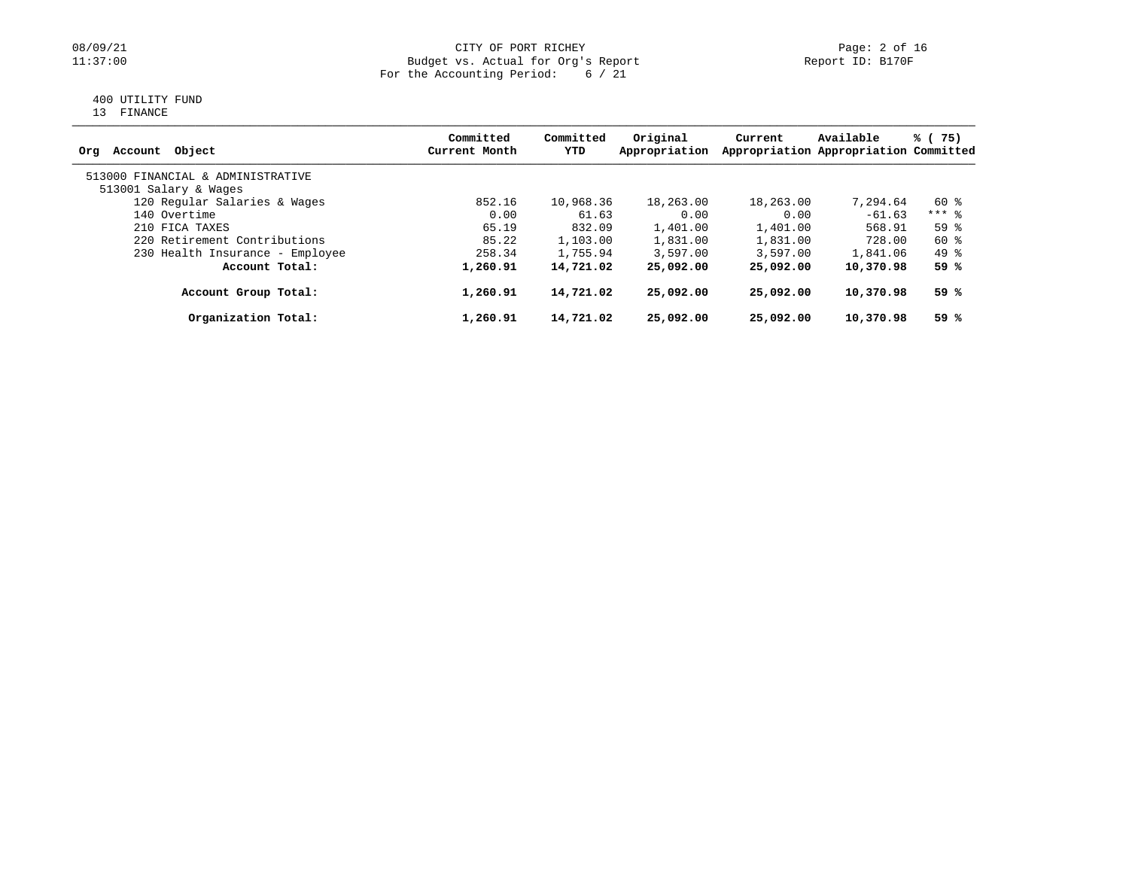# 08/09/21 CITY OF PORT RICHEY Page: 2 of 16<br>
Budget vs. Actual for Org's Report Page: 2 Of 16<br>
Page: 2 of 16 Budget vs. Actual for Org's Report For the Accounting Period: 6 / 21

# 400 UTILITY FUND

13 FINANCE

| Account Object<br>Ora             | Committed<br>Current Month | Committed<br>YTD | Original<br>Appropriation | Current   | Available<br>Appropriation Appropriation Committed | % (75)  |
|-----------------------------------|----------------------------|------------------|---------------------------|-----------|----------------------------------------------------|---------|
| 513000 FINANCIAL & ADMINISTRATIVE |                            |                  |                           |           |                                                    |         |
| 513001 Salary & Wages             |                            |                  |                           |           |                                                    |         |
| 120 Regular Salaries & Wages      | 852.16                     | 10,968.36        | 18,263.00                 | 18,263.00 | 7,294.64                                           | 60 %    |
| 140 Overtime                      | 0.00                       | 61.63            | 0.00                      | 0.00      | $-61.63$                                           | $***$ 8 |
| 210 FICA TAXES                    | 65.19                      | 832.09           | 1,401.00                  | 1,401.00  | 568.91                                             | 59%     |
| 220 Retirement Contributions      | 85.22                      | 1,103.00         | 1,831.00                  | 1,831.00  | 728.00                                             | 60 %    |
| 230 Health Insurance - Employee   | 258.34                     | 1,755.94         | 3,597.00                  | 3.597.00  | 1,841.06                                           | 49 %    |
| Account Total:                    | 1,260.91                   | 14,721.02        | 25,092.00                 | 25,092.00 | 10,370.98                                          | 59 %    |
| Account Group Total:              | 1,260.91                   | 14,721.02        | 25,092.00                 | 25,092.00 | 10,370.98                                          | 59 %    |
| Organization Total:               | 1,260.91                   | 14,721.02        | 25,092.00                 | 25,092.00 | 10,370.98                                          | 59 %    |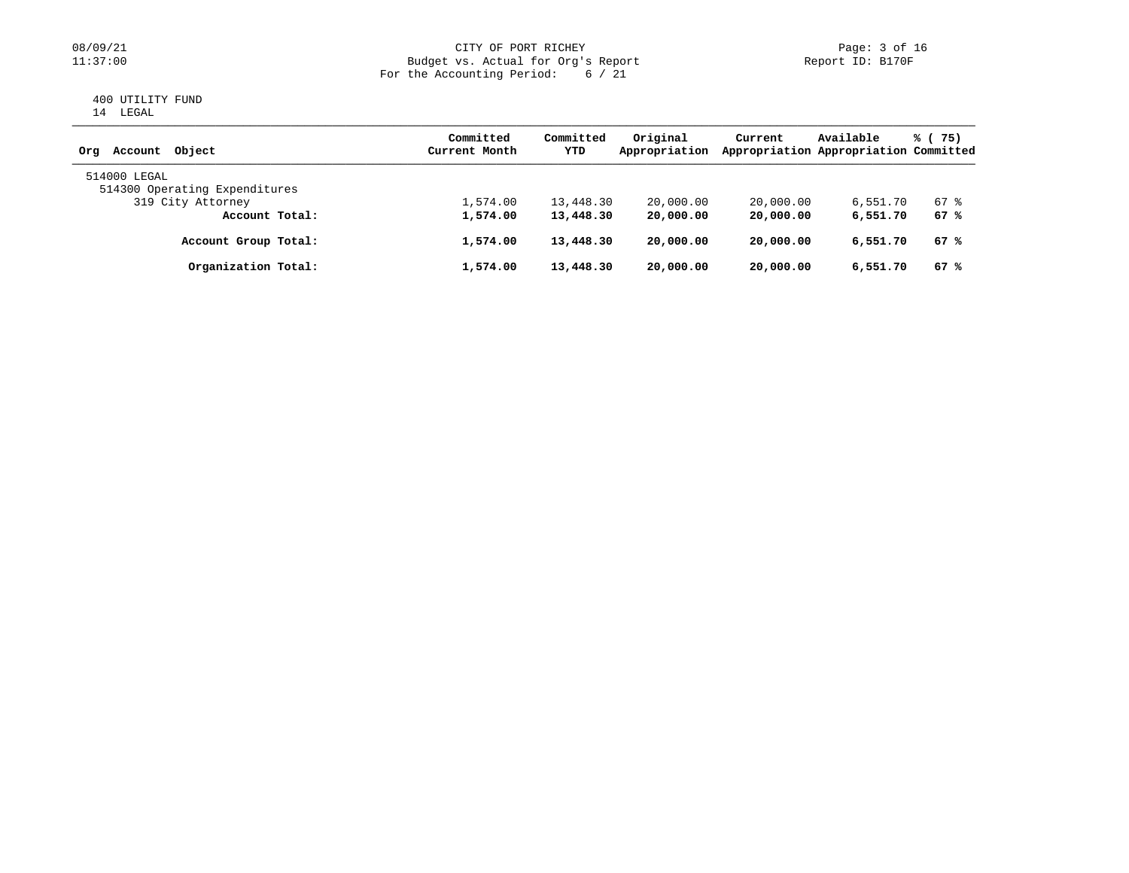# 08/09/21 CITY OF PORT RICHEY Page: 3 of 16<br>
Budget vs. Actual for Org's Report Page: 1 Page: 3 of 16<br>
Page: 3 of 16 Budget vs. Actual for Org's Report For the Accounting Period: 6 / 21

### 400 UTILITY FUND 14 LEGAL

| Account Object<br>Ora                         | Committed<br>Current Month | Committed<br>YTD | Original<br>Appropriation | Current   | Available<br>Appropriation Appropriation Committed | % (75) |
|-----------------------------------------------|----------------------------|------------------|---------------------------|-----------|----------------------------------------------------|--------|
| 514000 LEGAL<br>514300 Operating Expenditures |                            |                  |                           |           |                                                    |        |
| 319 City Attorney                             | 1,574.00                   | 13,448.30        | 20,000.00                 | 20,000.00 | 6,551.70                                           | 67 %   |
| Account Total:                                | 1,574.00                   | 13,448.30        | 20,000.00                 | 20,000.00 | 6,551.70                                           | 67 %   |
| Account Group Total:                          | 1,574.00                   | 13,448.30        | 20,000.00                 | 20,000.00 | 6,551.70                                           | 67 %   |
| Organization Total:                           | 1,574.00                   | 13,448.30        | 20,000.00                 | 20,000.00 | 6,551.70                                           | 67 %   |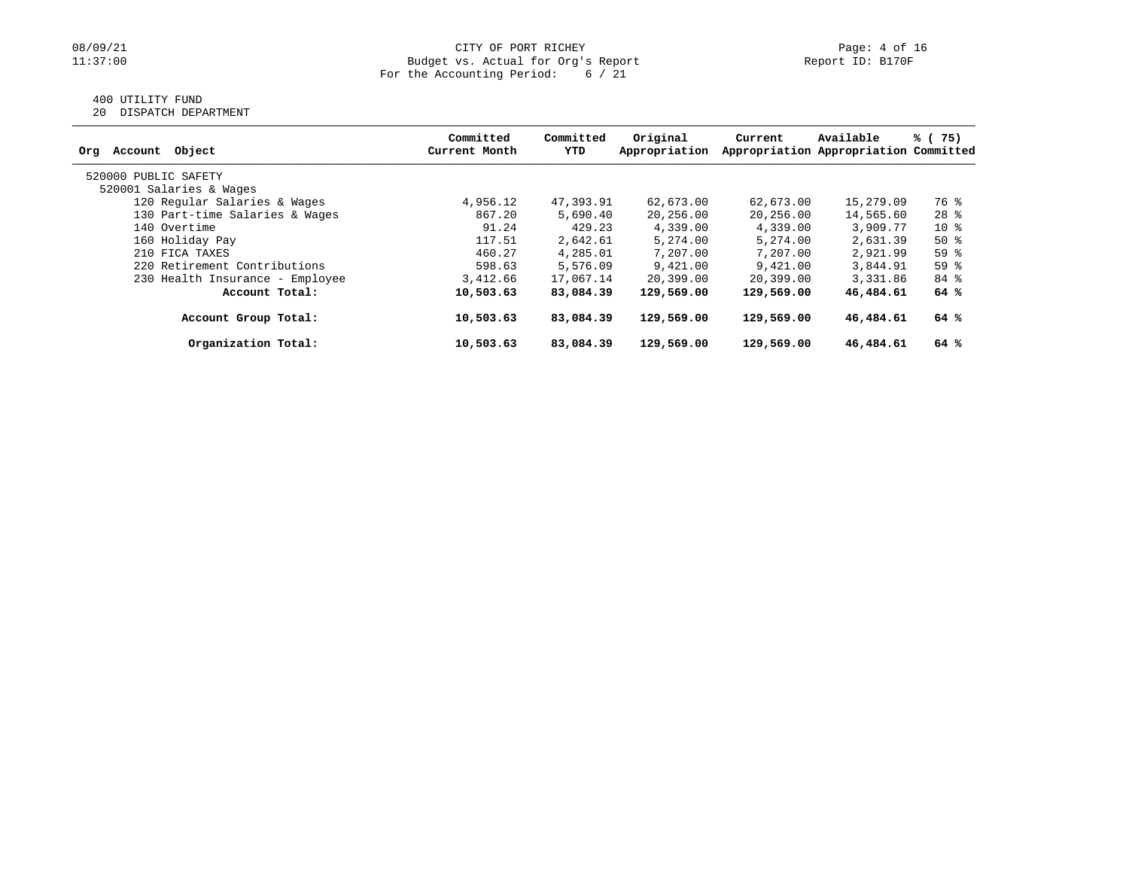# 400 UTILITY FUND

20 DISPATCH DEPARTMENT

| Account Object<br>Org           | Committed<br>Current Month | Committed<br>YTD | Original<br>Appropriation | Current    | Available<br>Appropriation Appropriation Committed | % (75) |
|---------------------------------|----------------------------|------------------|---------------------------|------------|----------------------------------------------------|--------|
| 520000 PUBLIC SAFETY            |                            |                  |                           |            |                                                    |        |
| 520001 Salaries & Wages         |                            |                  |                           |            |                                                    |        |
| 120 Regular Salaries & Wages    | 4,956.12                   | 47,393.91        | 62,673.00                 | 62,673.00  | 15,279.09                                          | 76 %   |
| 130 Part-time Salaries & Wages  | 867.20                     | 5,690.40         | 20,256.00                 | 20,256.00  | 14,565.60                                          | $28$ % |
| 140 Overtime                    | 91.24                      | 429.23           | 4,339.00                  | 4,339.00   | 3,909.77                                           | $10*$  |
| 160 Holiday Pay                 | 117.51                     | 2,642.61         | 5,274.00                  | 5,274.00   | 2,631.39                                           | $50*$  |
| 210 FICA TAXES                  | 460.27                     | 4,285.01         | 7,207.00                  | 7,207.00   | 2,921.99                                           | 59%    |
| 220 Retirement Contributions    | 598.63                     | 5,576.09         | 9,421.00                  | 9,421.00   | 3,844.91                                           | 59%    |
| 230 Health Insurance - Employee | 3,412.66                   | 17,067.14        | 20,399.00                 | 20,399.00  | 3,331.86                                           | $84$ % |
| Account Total:                  | 10,503.63                  | 83,084.39        | 129,569.00                | 129,569.00 | 46,484.61                                          | 64%    |
| Account Group Total:            | 10,503.63                  | 83,084.39        | 129,569.00                | 129,569.00 | 46,484.61                                          | 64 %   |
| Organization Total:             | 10,503.63                  | 83,084.39        | 129,569.00                | 129,569.00 | 46,484.61                                          | 64 %   |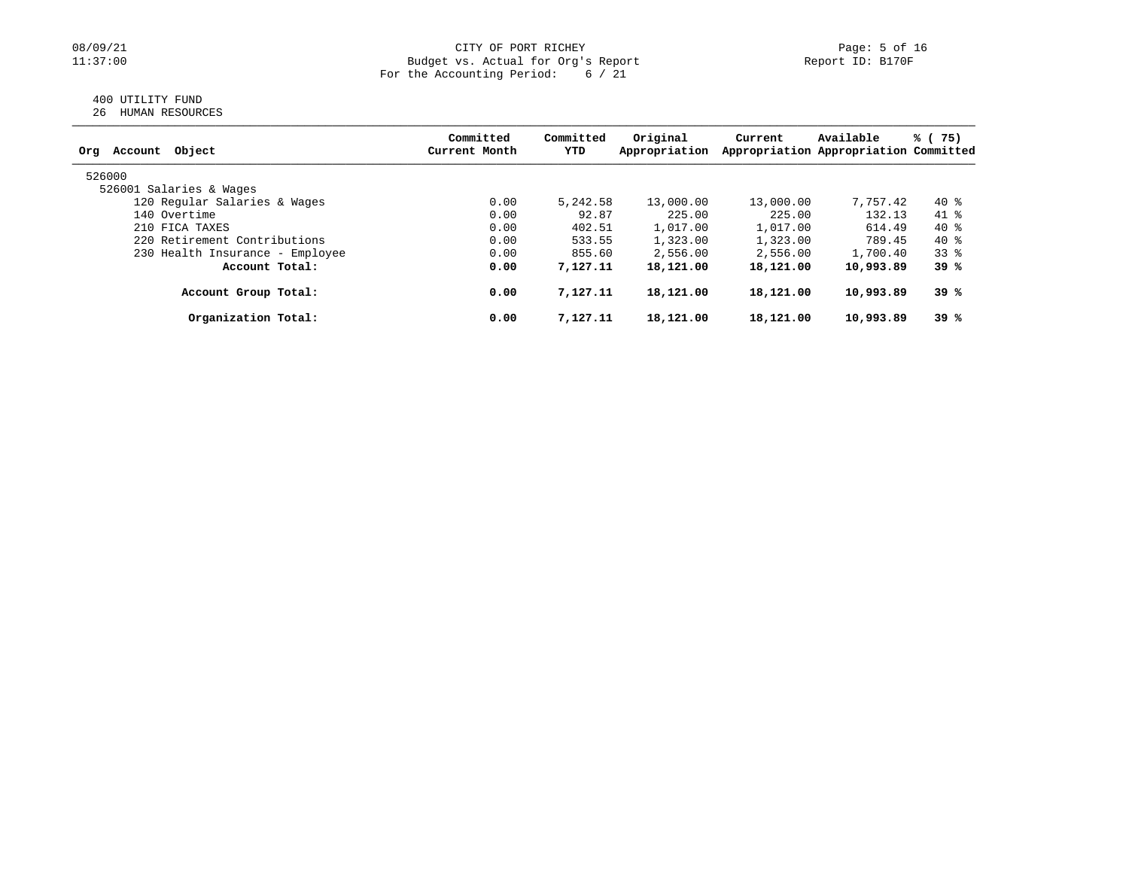# 08/09/21 CITY OF PORT RICHEY Page: 5 of 16<br>11:37:00 Budget vs. Actual for Org's Report Page: 5 of 16<br>Report ID: B170F Budget vs. Actual for Org's Report For the Accounting Period: 6 / 21

### 400 UTILITY FUND 26 HUMAN RESOURCES

| Object<br>Account<br>Org        | Committed<br>Current Month | Committed<br>YTD | Original<br>Appropriation | Current   | Available<br>Appropriation Appropriation Committed | % (75) |
|---------------------------------|----------------------------|------------------|---------------------------|-----------|----------------------------------------------------|--------|
| 526000                          |                            |                  |                           |           |                                                    |        |
| 526001 Salaries & Wages         |                            |                  |                           |           |                                                    |        |
| 120 Regular Salaries & Wages    | 0.00                       | 5,242.58         | 13,000.00                 | 13,000.00 | 7,757.42                                           | 40 %   |
| 140 Overtime                    | 0.00                       | 92.87            | 225.00                    | 225.00    | 132.13                                             | 41 %   |
| 210 FICA TAXES                  | 0.00                       | 402.51           | 1,017.00                  | 1,017.00  | 614.49                                             | 40 %   |
| 220 Retirement Contributions    | 0.00                       | 533.55           | 1,323.00                  | 1,323.00  | 789.45                                             | 40 %   |
| 230 Health Insurance - Employee | 0.00                       | 855.60           | 2,556.00                  | 2,556.00  | 1,700.40                                           | $33*$  |
| Account Total:                  | 0.00                       | 7,127.11         | 18,121.00                 | 18,121.00 | 10,993.89                                          | 39%    |
| Account Group Total:            | 0.00                       | 7,127.11         | 18,121.00                 | 18,121.00 | 10,993.89                                          | 39 %   |
| Organization Total:             | 0.00                       | 7,127.11         | 18,121.00                 | 18,121.00 | 10,993.89                                          | 39%    |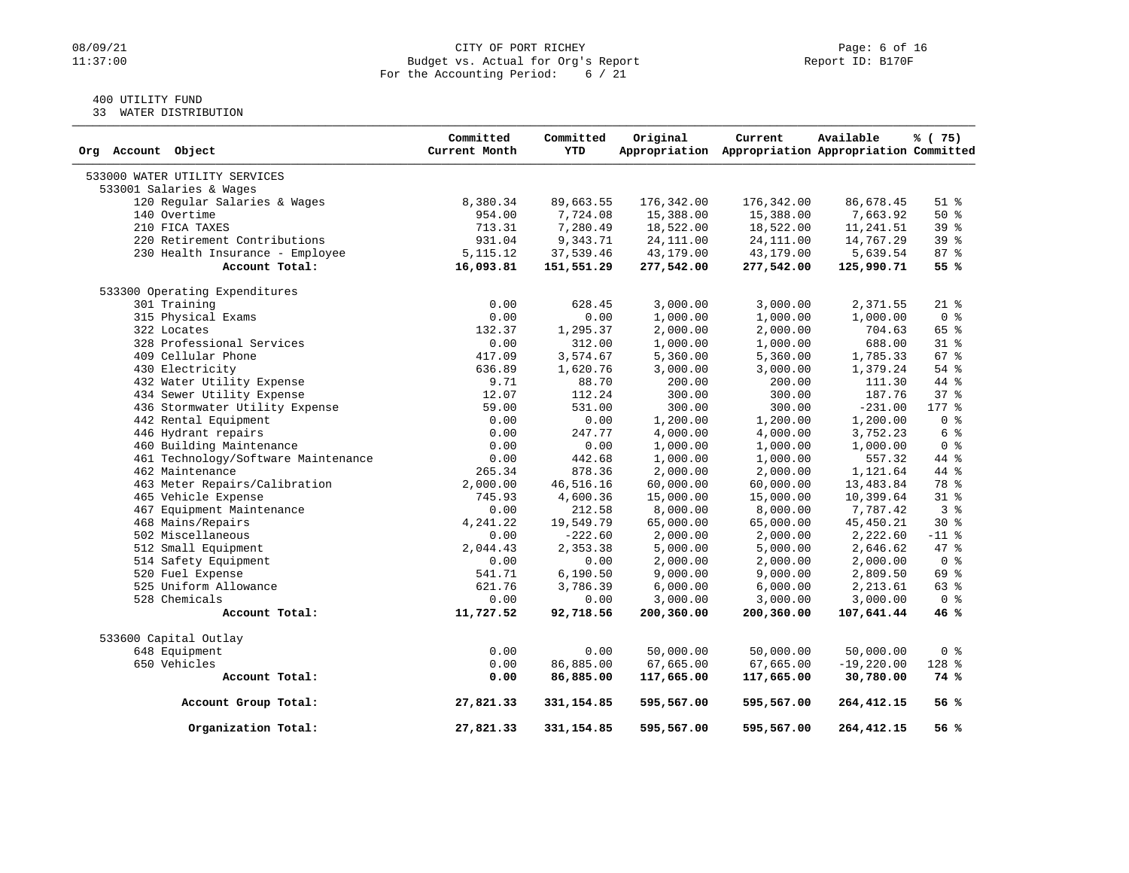# 08/09/21 CITY OF PORT RICHEY Page: 6 of 16<br>11:37:00 Budget vs. Actual for Org's Report Page: 6 Of 16<br>Report ID: B170F Budget vs. Actual for Org's Report For the Accounting Period: 6 / 21

# 400 UTILITY FUND

33 WATER DISTRIBUTION

| Org Account Object                  | Committed<br>Current Month | Committed<br><b>YTD</b> | Original   | Current<br>Appropriation Appropriation Appropriation Committed | Available    | % (75)              |
|-------------------------------------|----------------------------|-------------------------|------------|----------------------------------------------------------------|--------------|---------------------|
| 533000 WATER UTILITY SERVICES       |                            |                         |            |                                                                |              |                     |
| 533001 Salaries & Wages             |                            |                         |            |                                                                |              |                     |
| 120 Regular Salaries & Wages        | 8,380.34                   | 89,663.55               | 176,342.00 | 176,342.00                                                     | 86,678.45    | $51$ %              |
| 140 Overtime                        | 954.00                     | 7,724.08                | 15,388.00  | 15,388.00                                                      | 7,663.92     | $50*$               |
| 210 FICA TAXES                      | 713.31                     | 7,280.49                | 18,522.00  | 18,522.00                                                      | 11,241.51    | 39 <sup>8</sup>     |
| 220 Retirement Contributions        | 931.04                     | 9,343.71                | 24, 111.00 | 24, 111.00                                                     | 14,767.29    | 39 <sup>8</sup>     |
| 230 Health Insurance - Employee     | 5, 115. 12                 | 37,539.46               | 43,179.00  | 43,179.00                                                      | 5,639.54     | 87%                 |
| Account Total:                      | 16,093.81                  | 151,551.29              | 277,542.00 | 277,542.00                                                     | 125,990.71   | 55%                 |
| 533300 Operating Expenditures       |                            |                         |            |                                                                |              |                     |
| 301 Training                        | 0.00                       | 628.45                  | 3,000.00   | 3,000.00                                                       | 2,371.55     | $21$ %              |
| 315 Physical Exams                  | 0.00                       | 0.00                    | 1,000.00   | 1,000.00                                                       | 1,000.00     | 0 <sup>8</sup>      |
| 322 Locates                         | 132.37                     | 1,295.37                | 2,000.00   | 2,000.00                                                       | 704.63       | $65$ $%$            |
| 328 Professional Services           | 0.00                       | 312.00                  | 1,000.00   | 1,000.00                                                       | 688.00       | $31$ $8$            |
| 409 Cellular Phone                  | 417.09                     | 3,574.67                | 5,360.00   | 5,360.00                                                       | 1,785.33     | 67%                 |
| 430 Electricity                     | 636.89                     | 1,620.76                | 3,000.00   | 3,000.00                                                       | 1,379.24     | 54 %                |
| 432 Water Utility Expense           | 9.71                       | 88.70                   | 200.00     | 200.00                                                         | 111.30       | 44 %                |
| 434 Sewer Utility Expense           | 12.07                      | 112.24                  | 300.00     | 300.00                                                         | 187.76       | 37%                 |
| 436 Stormwater Utility Expense      | 59.00                      | 531.00                  | 300.00     | 300.00                                                         | $-231.00$    | $177$ $\frac{6}{5}$ |
| 442 Rental Equipment                | 0.00                       | 0.00                    | 1,200.00   | 1,200.00                                                       | 1,200.00     | 0 <sup>8</sup>      |
| 446 Hydrant repairs                 | 0.00                       | 247.77                  | 4,000.00   | 4,000.00                                                       | 3,752.23     | 6 %                 |
| 460 Building Maintenance            | 0.00                       | 0.00                    | 1,000.00   | 1,000.00                                                       | 1,000.00     | 0 <sup>8</sup>      |
| 461 Technology/Software Maintenance | 0.00                       | 442.68                  | 1,000.00   | 1,000.00                                                       | 557.32       | 44 %                |
| 462 Maintenance                     | 265.34                     | 878.36                  | 2,000.00   | 2,000.00                                                       | 1,121.64     | 44 %                |
| 463 Meter Repairs/Calibration       | 2,000.00                   | 46,516.16               | 60,000.00  | 60,000.00                                                      | 13,483.84    | 78 %                |
| 465 Vehicle Expense                 | 745.93                     | 4,600.36                | 15,000.00  | 15,000.00                                                      | 10,399.64    | $31$ %              |
| 467 Equipment Maintenance           | 0.00                       | 212.58                  | 8,000.00   | 8,000.00                                                       | 7,787.42     | 3 <sup>8</sup>      |
| 468 Mains/Repairs                   | 4,241.22                   | 19,549.79               | 65,000.00  | 65,000.00                                                      | 45, 450.21   | $30*$               |
| 502 Miscellaneous                   | 0.00                       | $-222.60$               | 2,000.00   | 2,000.00                                                       | 2,222.60     | $-11$ %             |
| 512 Small Equipment                 | 2,044.43                   | 2,353.38                | 5,000.00   | 5,000.00                                                       | 2,646.62     | 47 %                |
| 514 Safety Equipment                | 0.00                       | 0.00                    | 2,000.00   | 2,000.00                                                       | 2,000.00     | 0 <sup>8</sup>      |
| 520 Fuel Expense                    | 541.71                     | 6,190.50                | 9,000.00   | 9,000.00                                                       | 2,809.50     | 69 %                |
| 525 Uniform Allowance               | 621.76                     | 3,786.39                | 6,000.00   | 6,000.00                                                       | 2,213.61     | $63$ $%$            |
| 528 Chemicals                       | 0.00                       | 0.00                    | 3,000.00   | 3,000.00                                                       | 3,000.00     | 0 <sup>8</sup>      |
| Account Total:                      | 11,727.52                  | 92,718.56               | 200,360.00 | 200,360.00                                                     | 107,641.44   | 46%                 |
| 533600 Capital Outlay               |                            |                         |            |                                                                |              |                     |
| 648 Equipment                       | 0.00                       | 0.00                    | 50,000.00  | 50,000.00                                                      | 50,000.00    | 0 <sup>8</sup>      |
| 650 Vehicles                        | 0.00                       | 86,885.00               | 67,665.00  | 67,665.00                                                      | $-19,220.00$ | 128 %               |
| Account Total:                      | 0.00                       | 86,885.00               | 117,665.00 | 117,665.00                                                     | 30,780.00    | 74 %                |
| Account Group Total:                | 27,821.33                  | 331,154.85              | 595,567.00 | 595,567.00                                                     | 264,412.15   | 56 %                |
| Organization Total:                 | 27,821.33                  | 331,154.85              | 595,567.00 | 595,567.00                                                     | 264,412.15   | 56%                 |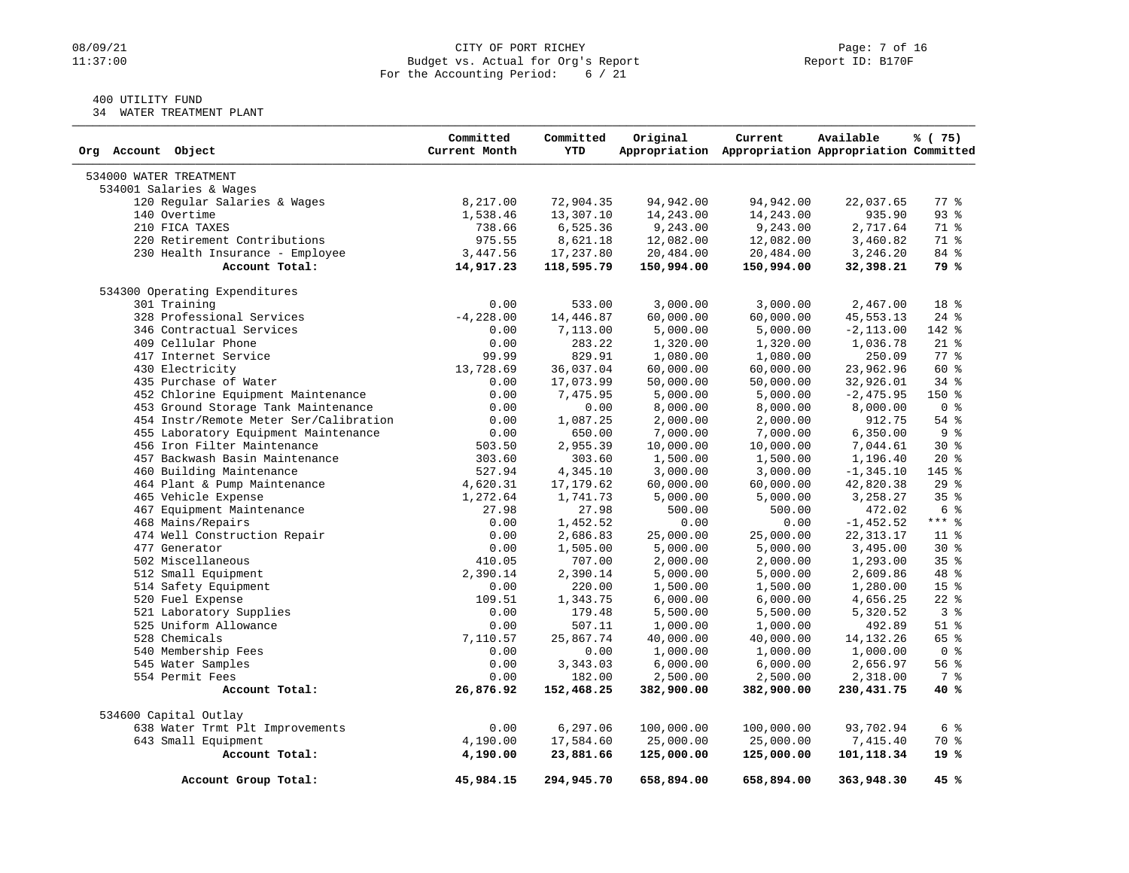# 08/09/21 CITY OF PORT RICHEY Page: 7 of 16<br>11:37:00 Budget vs. Actual for Org's Report Page: 7 Of 16 Budget vs. Actual for Org's Report For the Accounting Period: 6 / 21

# 400 UTILITY FUND

34 WATER TREATMENT PLANT

| Org Account Object                     | Committed<br>Current Month | Committed<br><b>YTD</b> | Original   | Current<br>Appropriation Appropriation Appropriation Committed | Available    | % (75)          |
|----------------------------------------|----------------------------|-------------------------|------------|----------------------------------------------------------------|--------------|-----------------|
| 534000 WATER TREATMENT                 |                            |                         |            |                                                                |              |                 |
| 534001 Salaries & Wages                |                            |                         |            |                                                                |              |                 |
| 120 Regular Salaries & Wages           | 8,217.00                   | 72,904.35               | 94,942.00  | 94,942.00                                                      | 22,037.65    | 77.8            |
| 140 Overtime                           | 1,538.46                   | 13,307.10               | 14,243.00  | 14,243.00                                                      | 935.90       | $93$ $%$        |
| 210 FICA TAXES                         | 738.66                     | 6,525.36                | 9,243.00   | 9,243.00                                                       | 2,717.64     | 71 %            |
| 220 Retirement Contributions           | 975.55                     | 8,621.18                | 12,082.00  | 12,082.00                                                      | 3,460.82     | 71 %            |
| 230 Health Insurance - Employee        | 3,447.56                   | 17,237.80               | 20,484.00  | 20,484.00                                                      | 3,246.20     | 84 %            |
| Account Total:                         | 14,917.23                  | 118,595.79              | 150,994.00 | 150,994.00                                                     | 32,398.21    | 79 %            |
| 534300 Operating Expenditures          |                            |                         |            |                                                                |              |                 |
| 301 Training                           | 0.00                       | 533.00                  | 3,000.00   | 3,000.00                                                       | 2,467.00     | 18 %            |
| 328 Professional Services              | $-4, 228.00$               | 14,446.87               | 60,000.00  | 60,000.00                                                      | 45, 553. 13  | $24$ %          |
| 346 Contractual Services               | 0.00                       | 7,113.00                | 5,000.00   | 5,000.00                                                       | $-2, 113.00$ | 142 %           |
| 409 Cellular Phone                     | 0.00                       | 283.22                  | 1,320.00   | 1,320.00                                                       | 1,036.78     | $21$ $%$        |
| 417 Internet Service                   | 99.99                      | 829.91                  | 1,080.00   | 1,080.00                                                       | 250.09       | 77.8            |
| 430 Electricity                        | 13,728.69                  | 36,037.04               | 60,000.00  | 60,000.00                                                      | 23,962.96    | $60*$           |
| 435 Purchase of Water                  | 0.00                       | 17,073.99               | 50,000.00  | 50,000.00                                                      | 32,926.01    | $34$ %          |
| 452 Chlorine Equipment Maintenance     | 0.00                       | 7,475.95                | 5,000.00   | 5,000.00                                                       | $-2, 475.95$ | 150 %           |
| 453 Ground Storage Tank Maintenance    | 0.00                       | 0.00                    | 8,000.00   | 8,000.00                                                       | 8,000.00     | 0 <sup>8</sup>  |
| 454 Instr/Remote Meter Ser/Calibration | 0.00                       | 1,087.25                | 2,000.00   | 2,000.00                                                       | 912.75       | $54$ %          |
| 455 Laboratory Equipment Maintenance   | 0.00                       | 650.00                  | 7,000.00   | 7,000.00                                                       | 6,350.00     | 9%              |
| 456 Iron Filter Maintenance            | 503.50                     | 2,955.39                | 10,000.00  | 10,000.00                                                      | 7,044.61     | $30*$           |
| 457 Backwash Basin Maintenance         | 303.60                     | 303.60                  | 1,500.00   | 1,500.00                                                       | 1,196.40     | $20*$           |
| 460 Building Maintenance               | 527.94                     | 4,345.10                | 3,000.00   | 3,000.00                                                       | $-1, 345.10$ | 145 %           |
| 464 Plant & Pump Maintenance           | 4,620.31                   | 17, 179.62              | 60,000.00  | 60,000.00                                                      | 42,820.38    | 29%             |
| 465 Vehicle Expense                    | 1,272.64                   | 1,741.73                | 5,000.00   | 5,000.00                                                       | 3,258.27     | 35%             |
| 467 Equipment Maintenance              | 27.98                      | 27.98                   | 500.00     | 500.00                                                         | 472.02       | 6 %             |
| 468 Mains/Repairs                      | 0.00                       | 1,452.52                | 0.00       | 0.00                                                           | $-1,452.52$  | $***$ $-$       |
| 474 Well Construction Repair           | 0.00                       | 2,686.83                | 25,000.00  | 25,000.00                                                      | 22, 313.17   | $11$ %          |
| 477 Generator                          | 0.00                       | 1,505.00                | 5,000.00   | 5,000.00                                                       | 3,495.00     | $30*$           |
| 502 Miscellaneous                      | 410.05                     | 707.00                  | 2,000.00   | 2,000.00                                                       | 1,293.00     | 35%             |
| 512 Small Equipment                    | 2,390.14                   | 2,390.14                | 5,000.00   | 5,000.00                                                       | 2,609.86     | 48 %            |
| 514 Safety Equipment                   | 0.00                       | 220.00                  | 1,500.00   | 1,500.00                                                       | 1,280.00     | 15 <sup>8</sup> |
| 520 Fuel Expense                       | 109.51                     | 1,343.75                | 6,000.00   | 6,000.00                                                       | 4,656.25     | $22$ $%$        |
| 521 Laboratory Supplies                | 0.00                       | 179.48                  | 5,500.00   | 5,500.00                                                       | 5,320.52     | 3%              |
| 525 Uniform Allowance                  | 0.00                       | 507.11                  | 1,000.00   | 1,000.00                                                       | 492.89       | $51$ %          |
| 528 Chemicals                          | 7,110.57                   | 25,867.74               | 40,000.00  | 40,000.00                                                      | 14, 132. 26  | 65 %            |
| 540 Membership Fees                    | 0.00                       | 0.00                    | 1,000.00   | 1,000.00                                                       | 1,000.00     | 0 <sup>8</sup>  |
| 545 Water Samples                      | 0.00                       | 3,343.03                | 6,000.00   | 6,000.00                                                       | 2,656.97     | 56 %            |
| 554 Permit Fees                        | 0.00                       | 182.00                  | 2,500.00   | 2,500.00                                                       | 2,318.00     | 7 %             |
| Account Total:                         | 26,876.92                  | 152,468.25              | 382,900.00 | 382,900.00                                                     | 230,431.75   | 40 %            |
| 534600 Capital Outlay                  |                            |                         |            |                                                                |              |                 |
| 638 Water Trmt Plt Improvements        | 0.00                       | 6,297.06                | 100,000.00 | 100,000.00                                                     | 93,702.94    | 6 %             |
| 643 Small Equipment                    | 4,190.00                   | 17,584.60               | 25,000.00  | 25,000.00                                                      | 7,415.40     | 70 %            |
| Account Total:                         | 4,190.00                   | 23,881.66               | 125,000.00 | 125,000.00                                                     | 101,118.34   | 19%             |
| Account Group Total:                   | 45,984.15                  | 294,945.70              | 658,894.00 | 658,894.00                                                     | 363,948.30   | 45 %            |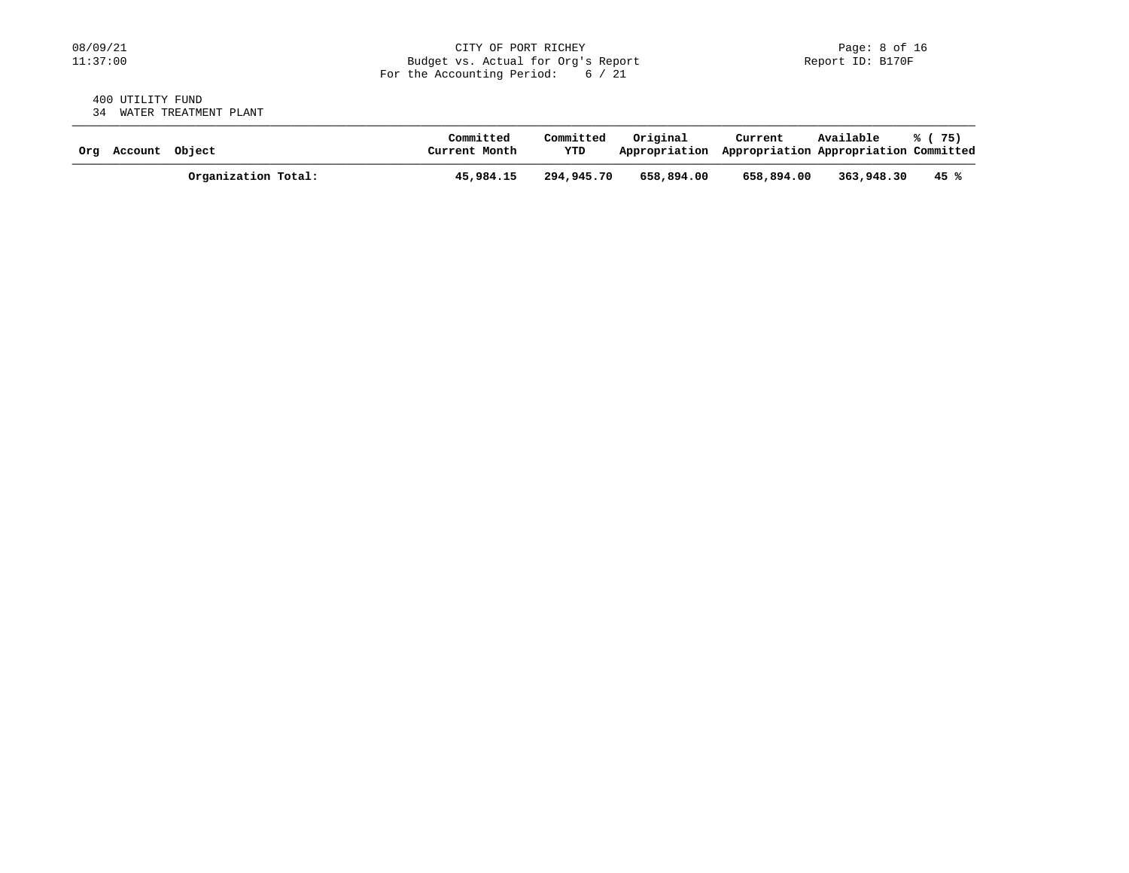# 08/09/21 CITY OF PORT RICHEY Page: 8 of 16<br>11:37:00 Budget vs. Actual for Org's Report Page: 11:37:00 Budget vs. Actual for Org's Report For the Accounting Period: 6 / 21

### 400 UTILITY FUND 34 WATER TREATMENT PLANT

| Orq | Account Object |                     | Committed<br>Current Month | Committed<br>YTD | Original<br>Appropriation Appropriation Appropriation Committed | Current    | Available  | % ( 75) |
|-----|----------------|---------------------|----------------------------|------------------|-----------------------------------------------------------------|------------|------------|---------|
|     |                | Organization Total: | 45,984.15                  | 294,945.70       | 658,894,00                                                      | 658,894.00 | 363,948.30 | 45 %    |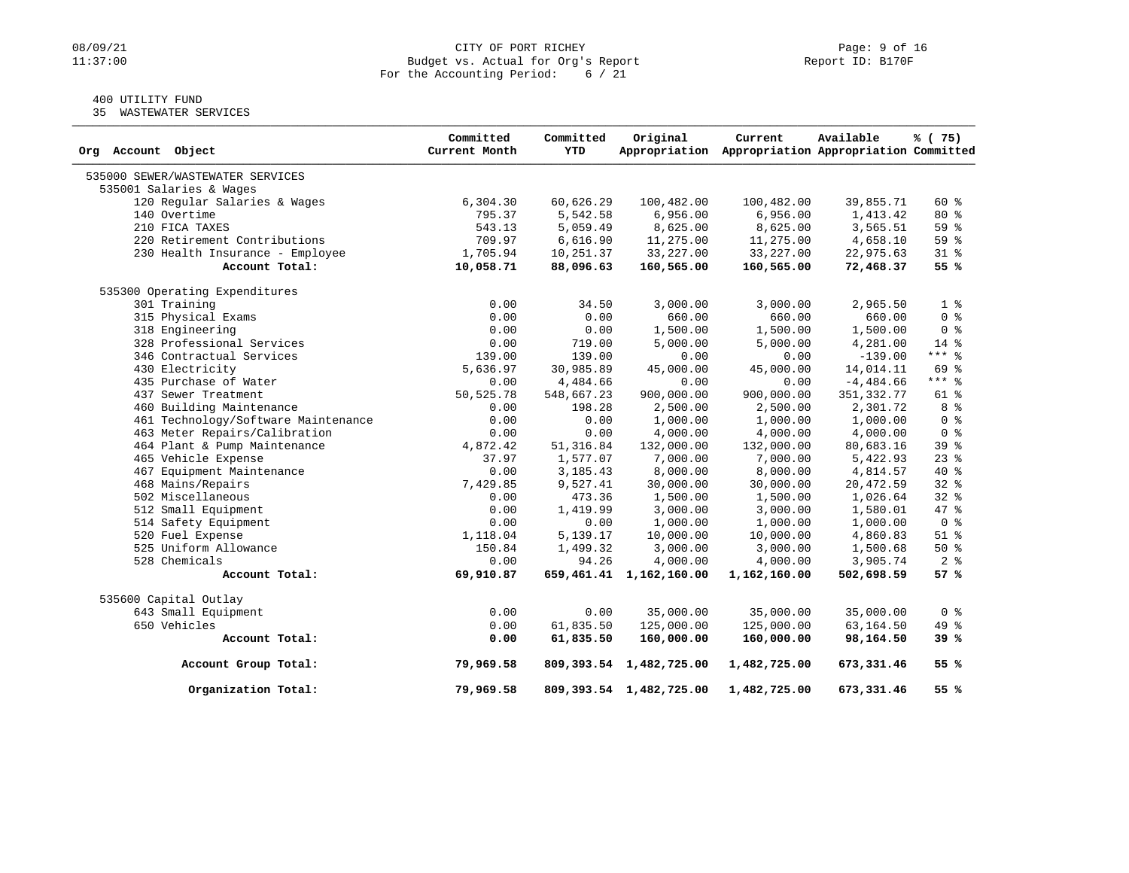# 08/09/21 CITY OF PORT RICHEY Page: 9 of 16<br>11:37:00 Budget vs. Actual for Org's Report Page: 9 Of 16 Budget vs. Actual for Org's Report For the Accounting Period: 6 / 21

# 400 UTILITY FUND

35 WASTEWATER SERVICES

| Org Account Object                  | Committed<br>Current Month | Committed<br>YTD | Original                | Current<br>Appropriation Appropriation Appropriation Committed | Available   | % (75)         |
|-------------------------------------|----------------------------|------------------|-------------------------|----------------------------------------------------------------|-------------|----------------|
| 535000 SEWER/WASTEWATER SERVICES    |                            |                  |                         |                                                                |             |                |
| 535001 Salaries & Wages             |                            |                  |                         |                                                                |             |                |
| 120 Regular Salaries & Wages        | 6,304.30                   | 60,626.29        | 100,482.00              | 100,482.00                                                     | 39,855.71   | $60*$          |
| 140 Overtime                        | 795.37                     | 5,542.58         | 6,956.00                | 6,956.00                                                       | 1,413.42    | 80 %           |
| 210 FICA TAXES                      | 543.13                     | 5,059.49         | 8,625.00                | 8,625.00                                                       | 3,565.51    | 59 %           |
| 220 Retirement Contributions        | 709.97                     | 6,616.90         | 11,275.00               | 11,275.00                                                      | 4,658.10    | 59%            |
| 230 Health Insurance - Employee     | 1,705.94                   | 10,251.37        | 33, 227.00              | 33, 227.00                                                     | 22,975.63   | $31*$          |
| Account Total:                      | 10,058.71                  | 88,096.63        | 160,565.00              | 160,565.00                                                     | 72,468.37   | 55 %           |
| 535300 Operating Expenditures       |                            |                  |                         |                                                                |             |                |
| 301 Training                        | 0.00                       | 34.50            | 3,000.00                | 3,000.00                                                       | 2,965.50    | 1 <sup>8</sup> |
| 315 Physical Exams                  | 0.00                       | 0.00             | 660.00                  | 660.00                                                         | 660.00      | 0 <sup>8</sup> |
| 318 Engineering                     | 0.00                       | 0.00             | 1,500.00                | 1,500.00                                                       | 1,500.00    | 0 <sup>8</sup> |
| 328 Professional Services           | 0.00                       | 719.00           | 5,000.00                | 5,000.00                                                       | 4,281.00    | $14*$          |
| 346 Contractual Services            | 139.00                     | 139.00           | 0.00                    | 0.00                                                           | $-139.00$   | $***$ $%$      |
| 430 Electricity                     | 5,636.97                   | 30,985.89        | 45,000.00               | 45,000.00                                                      | 14,014.11   | 69 %           |
| 435 Purchase of Water               | 0.00                       | 4,484.66         | 0.00                    | 0.00                                                           | $-4,484.66$ | $***$ $%$      |
| 437 Sewer Treatment                 | 50,525.78                  | 548,667.23       | 900,000.00              | 900,000.00                                                     | 351, 332.77 | 61 %           |
| 460 Building Maintenance            | 0.00                       | 198.28           | 2,500.00                | 2,500.00                                                       | 2,301.72    | 8 %            |
| 461 Technology/Software Maintenance | 0.00                       | 0.00             | 1,000.00                | 1,000.00                                                       | 1,000.00    | 0 <sup>8</sup> |
| 463 Meter Repairs/Calibration       | 0.00                       | 0.00             | 4,000.00                | 4,000.00                                                       | 4,000.00    | 0 <sup>8</sup> |
| 464 Plant & Pump Maintenance        | 4,872.42                   | 51, 316.84       | 132,000.00              | 132,000.00                                                     | 80,683.16   | 39 %           |
| 465 Vehicle Expense                 | 37.97                      | 1,577.07         | 7,000.00                | 7,000.00                                                       | 5,422.93    | $23$ %         |
| 467 Equipment Maintenance           | 0.00                       | 3, 185. 43       | 8,000.00                | 8,000.00                                                       | 4,814.57    | $40*$          |
| 468 Mains/Repairs                   | 7,429.85                   | 9,527.41         | 30,000.00               | 30,000.00                                                      | 20,472.59   | 32%            |
| 502 Miscellaneous                   | 0.00                       | 473.36           | 1,500.00                | 1,500.00                                                       | 1,026.64    | $32$ $%$       |
| 512 Small Equipment                 | 0.00                       | 1,419.99         | 3,000.00                | 3,000.00                                                       | 1,580.01    | 47 %           |
| 514 Safety Equipment                | 0.00                       | 0.00             | 1,000.00                | 1,000.00                                                       | 1,000.00    | 0 <sup>8</sup> |
| 520 Fuel Expense                    | 1,118.04                   | 5,139.17         | 10,000.00               | 10,000.00                                                      | 4,860.83    | $51$ %         |
| 525 Uniform Allowance               | 150.84                     | 1,499.32         | 3,000.00                | 3,000.00                                                       | 1,500.68    | 50%            |
| 528 Chemicals                       | 0.00                       | 94.26            | 4,000.00                | 4,000.00                                                       | 3,905.74    | 2 <sup>8</sup> |
| Account Total:                      | 69,910.87                  |                  | 659,461.41 1,162,160.00 | 1,162,160.00                                                   | 502,698.59  | 57%            |
| 535600 Capital Outlay               |                            |                  |                         |                                                                |             |                |
| 643 Small Equipment                 | 0.00                       | 0.00             | 35,000.00               | 35,000.00                                                      | 35,000.00   | 0 <sup>8</sup> |
| 650 Vehicles                        | 0.00                       | 61,835.50        | 125,000.00              | 125,000.00                                                     | 63,164.50   | 49 %           |
| Account Total:                      | 0.00                       | 61,835.50        | 160,000.00              | 160,000.00                                                     | 98,164.50   | 39%            |
| Account Group Total:                | 79,969.58                  |                  | 809,393.54 1,482,725.00 | 1,482,725.00                                                   | 673,331.46  | 55%            |
| Organization Total:                 | 79,969.58                  |                  | 809,393.54 1,482,725.00 | 1,482,725.00                                                   | 673,331.46  | 55 %           |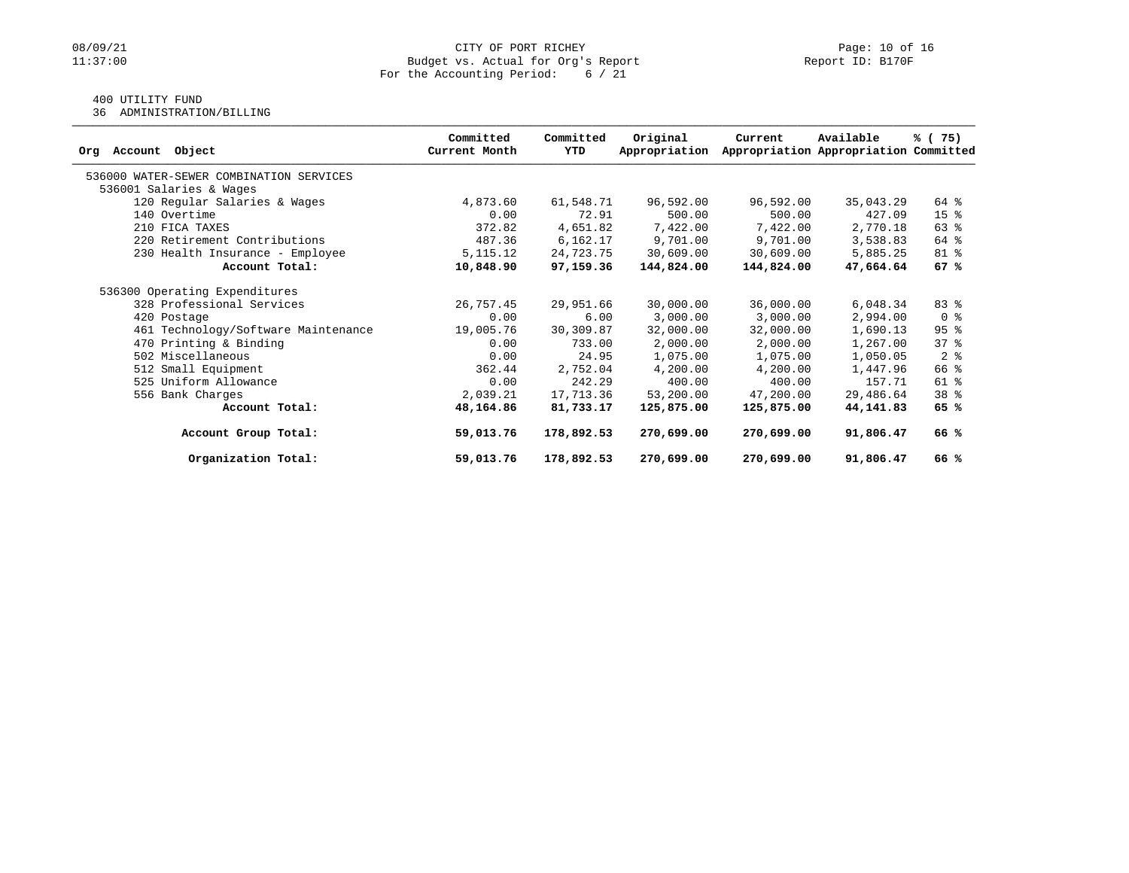# 08/09/21 CITY OF PORT RICHEY Page: 10 of 16<br>Budget vs. Actual for Org's Report Page: 10 of 16<br>Report ID: B170F Budget vs. Actual for Org's Report For the Accounting Period: 6 / 21

## 400 UTILITY FUND

36 ADMINISTRATION/BILLING

| Object<br>Account<br>Orq                | Committed<br>Current Month | Committed<br>YTD | Original<br>Appropriation | Current    | Available<br>Appropriation Appropriation Committed | % (75)          |
|-----------------------------------------|----------------------------|------------------|---------------------------|------------|----------------------------------------------------|-----------------|
|                                         |                            |                  |                           |            |                                                    |                 |
| 536000 WATER-SEWER COMBINATION SERVICES |                            |                  |                           |            |                                                    |                 |
| 536001 Salaries & Wages                 |                            |                  |                           |            |                                                    |                 |
| 120 Regular Salaries & Wages            | 4,873.60                   | 61,548.71        | 96,592.00                 | 96,592.00  | 35,043.29                                          | 64 %            |
| 140 Overtime                            | 0.00                       | 72.91            | 500.00                    | 500.00     | 427.09                                             | 15 <sup>8</sup> |
| 210 FICA TAXES                          | 372.82                     | 4,651.82         | 7,422.00                  | 7,422.00   | 2,770.18                                           | 63 %            |
| 220 Retirement Contributions            | 487.36                     | 6,162.17         | 9,701.00                  | 9,701.00   | 3,538.83                                           | 64 %            |
| 230 Health Insurance - Employee         | 5, 115. 12                 | 24,723.75        | 30,609.00                 | 30,609.00  | 5,885.25                                           | 81 %            |
| Account Total:                          | 10,848.90                  | 97,159.36        | 144,824.00                | 144,824.00 | 47,664.64                                          | 67%             |
| 536300 Operating Expenditures           |                            |                  |                           |            |                                                    |                 |
| 328 Professional Services               | 26,757.45                  | 29,951.66        | 30,000.00                 | 36,000.00  | 6,048.34                                           | 83 %            |
| 420 Postage                             | 0.00                       | 6.00             | 3,000.00                  | 3,000.00   | 2,994.00                                           | 0 <sup>8</sup>  |
| 461 Technology/Software Maintenance     | 19,005.76                  | 30,309.87        | 32,000.00                 | 32,000.00  | 1,690.13                                           | 95%             |
| 470 Printing & Binding                  | 0.00                       | 733.00           | 2,000.00                  | 2,000.00   | 1,267.00                                           | 37%             |
| 502 Miscellaneous                       | 0.00                       | 24.95            | 1,075.00                  | 1,075.00   | 1,050.05                                           | 2 <sup>8</sup>  |
| 512 Small Equipment                     | 362.44                     | 2,752.04         | 4,200.00                  | 4,200.00   | 1,447.96                                           | 66 %            |
| 525 Uniform Allowance                   | 0.00                       | 242.29           | 400.00                    | 400.00     | 157.71                                             | 61 %            |
| 556 Bank Charges                        | 2,039.21                   | 17,713.36        | 53,200.00                 | 47,200.00  | 29,486.64                                          | 38 <sup>8</sup> |
| Account Total:                          | 48,164.86                  | 81,733.17        | 125,875.00                | 125,875.00 | 44,141.83                                          | 65%             |
| Account Group Total:                    | 59,013.76                  | 178,892.53       | 270,699.00                | 270,699.00 | 91,806.47                                          | 66%             |
| Organization Total:                     | 59,013.76                  | 178,892.53       | 270,699.00                | 270,699.00 | 91,806.47                                          | 66%             |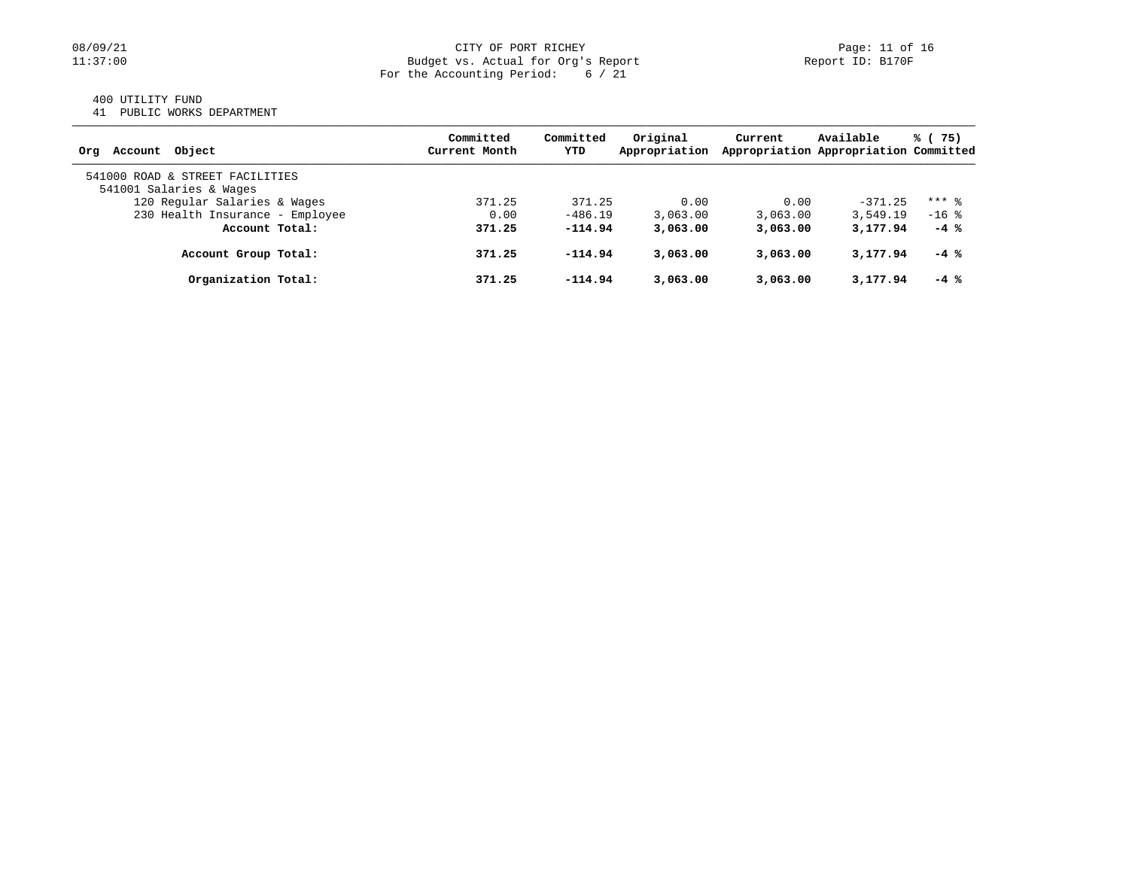# 400 UTILITY FUND

41 PUBLIC WORKS DEPARTMENT

| Account Object<br>Ora                                      | Committed<br>Current Month | Committed<br>YTD | Original<br>Appropriation | Current  | Available<br>Appropriation Appropriation Committed | % (75)  |
|------------------------------------------------------------|----------------------------|------------------|---------------------------|----------|----------------------------------------------------|---------|
| 541000 ROAD & STREET FACILITIES<br>541001 Salaries & Wages |                            |                  |                           |          |                                                    |         |
| 120 Regular Salaries & Wages                               | 371.25                     | 371.25           | 0.00                      | 0.00     | $-371.25$                                          | $***$ 8 |
| 230 Health Insurance - Employee                            | 0.00                       | $-486.19$        | 3.063.00                  | 3.063.00 | 3,549.19                                           | $-16$ % |
| Account Total:                                             | 371.25                     | $-114.94$        | 3,063,00                  | 3,063,00 | 3,177.94                                           | $-4$ %  |
| Account Group Total:                                       | 371.25                     | $-114.94$        | 3,063,00                  | 3,063,00 | 3,177.94                                           | $-4$ %  |
| Organization Total:                                        | 371.25                     | $-114.94$        | 3,063,00                  | 3,063.00 | 3,177.94                                           | $-4$ %  |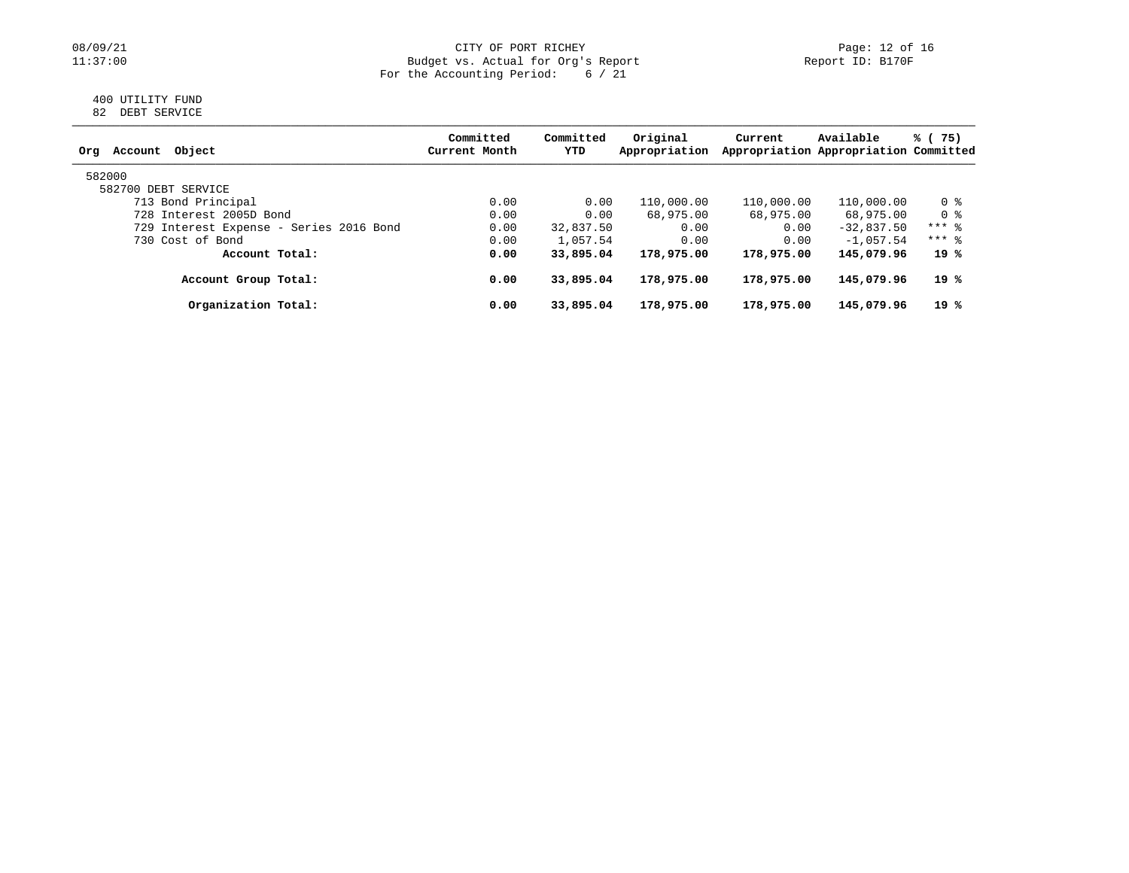# 08/09/21 CITY OF PORT RICHEY Page: 12 of 16<br>
Budget vs. Actual for Org's Report Page: 12 of 16<br>
Page: 12 of 16 Budget vs. Actual for Org's Report For the Accounting Period: 6 / 21

### 400 UTILITY FUND 82 DEBT SERVICE

| Object<br>Ora<br>Account                | Committed<br>Current Month | Committed<br>YTD | Original<br>Appropriation | Current    | Available<br>Appropriation Appropriation Committed | % (75)  |
|-----------------------------------------|----------------------------|------------------|---------------------------|------------|----------------------------------------------------|---------|
| 582000                                  |                            |                  |                           |            |                                                    |         |
| 582700 DEBT SERVICE                     |                            |                  |                           |            |                                                    |         |
| 713 Bond Principal                      | 0.00                       | 0.00             | 110,000.00                | 110,000.00 | 110,000.00                                         | 0 %     |
| 728 Interest 2005D Bond                 | 0.00                       | 0.00             | 68,975.00                 | 68,975.00  | 68,975.00                                          | 0 %     |
| 729 Interest Expense - Series 2016 Bond | 0.00                       | 32,837.50        | 0.00                      | 0.00       | $-32,837.50$                                       | $***$ 8 |
| 730 Cost of Bond                        | 0.00                       | 1,057.54         | 0.00                      | 0.00       | $-1.057.54$                                        | $***$ 2 |
| Account Total:                          | 0.00                       | 33,895.04        | 178,975.00                | 178,975.00 | 145,079.96                                         | 19 %    |
| Account Group Total:                    | 0.00                       | 33,895.04        | 178,975.00                | 178,975.00 | 145,079.96                                         | 19 %    |
| Organization Total:                     | 0.00                       | 33,895.04        | 178,975.00                | 178,975.00 | 145,079.96                                         | 19%     |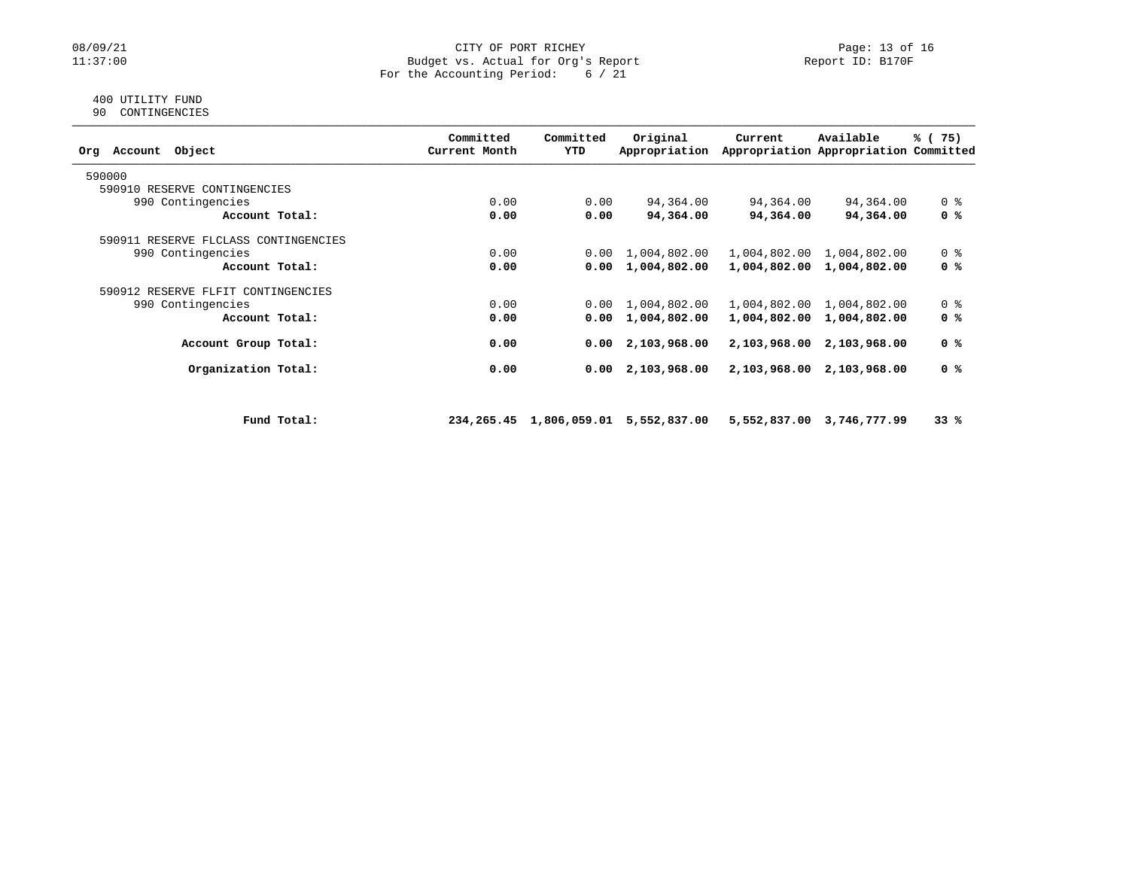## 08/09/21 CITY OF PORT RICHEY Page: 13 of 16<br>11:37:00 Budget vs. Actual for Org's Report Page: 13 Of 16<br>Report ID: B170F Budget vs. Actual for Org's Report For the Accounting Period: 6 / 21

### 400 UTILITY FUND 90 CONTINGENCIES

| Object<br>Account<br>Orq             |             | Committed<br>Current Month | Committed<br>YTD | Original<br>Appropriation            | Current      | Available<br>Appropriation Appropriation Committed | % (75)         |
|--------------------------------------|-------------|----------------------------|------------------|--------------------------------------|--------------|----------------------------------------------------|----------------|
| 590000                               |             |                            |                  |                                      |              |                                                    |                |
| 590910 RESERVE CONTINGENCIES         |             |                            |                  |                                      |              |                                                    |                |
| 990 Contingencies                    |             | 0.00                       | 0.00             | 94,364.00                            | 94,364.00    | 94,364.00                                          | 0 %            |
| Account Total:                       |             | 0.00                       | 0.00             | 94,364.00                            | 94,364.00    | 94,364.00                                          | 0 %            |
| 590911 RESERVE FLCLASS CONTINGENCIES |             |                            |                  |                                      |              |                                                    |                |
| 990 Contingencies                    |             | 0.00                       | 0.00             | 1,004,802.00                         | 1,004,802.00 | 1,004,802.00                                       | 0 <sub>8</sub> |
| Account Total:                       |             | 0.00                       | 0.00             | 1,004,802.00                         |              | 1,004,802.00 1,004,802.00                          | 0 %            |
| 590912 RESERVE FLFIT CONTINGENCIES   |             |                            |                  |                                      |              |                                                    |                |
| 990 Contingencies                    |             | 0.00                       | 0.00             | 1,004,802.00                         | 1,004,802.00 | 1,004,802.00                                       | 0 <sup>8</sup> |
| Account Total:                       |             | 0.00                       | 0.00             | 1,004,802.00                         | 1,004,802.00 | 1,004,802.00                                       | 0 %            |
| Account Group Total:                 |             | 0.00                       | 0.00             | 2,103,968.00                         | 2,103,968.00 | 2,103,968.00                                       | 0 %            |
| Organization Total:                  |             | 0.00                       | 0.00             | 2,103,968.00                         | 2,103,968.00 | 2,103,968.00                                       | 0 %            |
|                                      |             |                            |                  |                                      |              |                                                    |                |
|                                      | Fund Total: |                            |                  | 234,265.45 1,806,059.01 5,552,837.00 |              | 5,552,837.00 3,746,777.99                          | 33%            |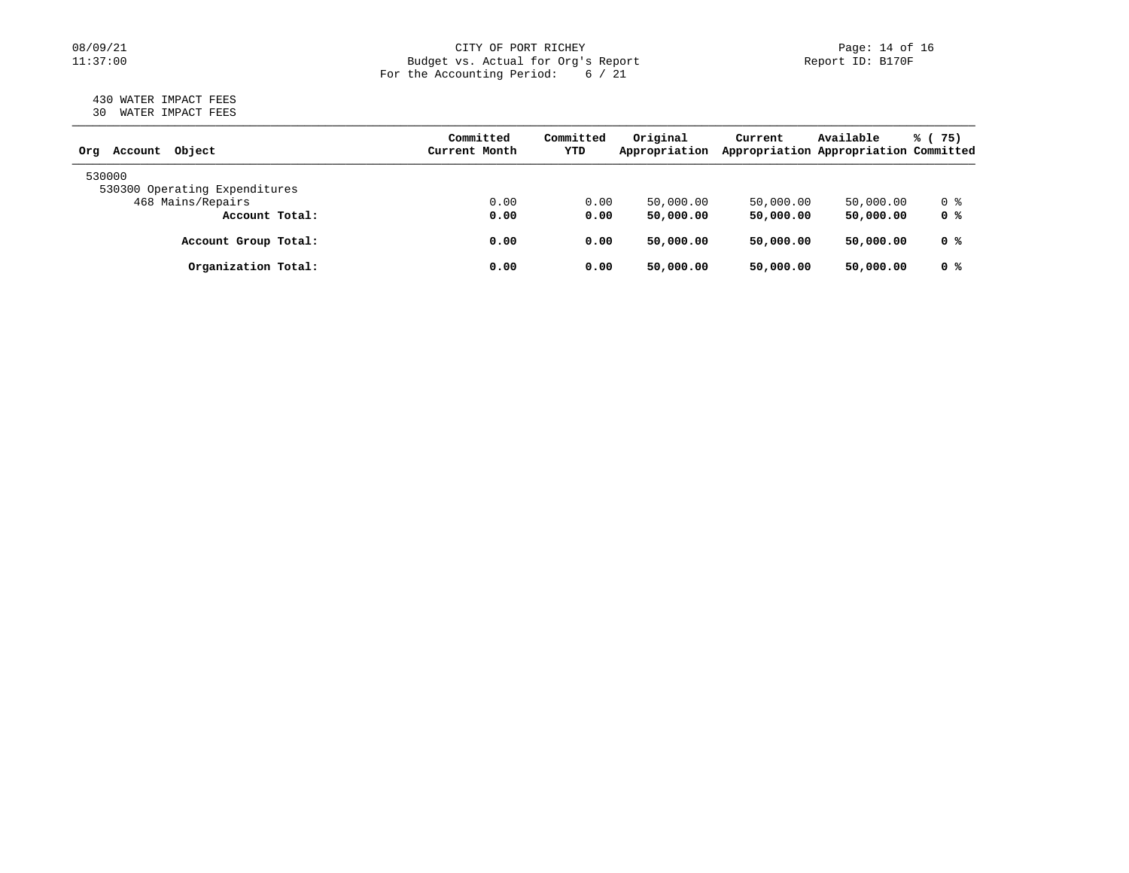# 08/09/21 CITY OF PORT RICHEY Page: 14 of 16<br>
Budget vs. Actual for Org's Report Page: 14 of 16<br>
Page: 14 of 16 Budget vs. Actual for Org's Report For the Accounting Period: 6 / 21

### 430 WATER IMPACT FEES 30 WATER IMPACT FEES

| Object<br>Account<br>Orq      | Committed<br>Current Month | Committed<br>YTD | Original<br>Appropriation | Current   | Available<br>Appropriation Appropriation Committed | % (75) |  |
|-------------------------------|----------------------------|------------------|---------------------------|-----------|----------------------------------------------------|--------|--|
| 530000                        |                            |                  |                           |           |                                                    |        |  |
| 530300 Operating Expenditures |                            |                  |                           |           |                                                    |        |  |
| 468 Mains/Repairs             | 0.00                       | 0.00             | 50,000.00                 | 50,000.00 | 50,000.00                                          | 0 %    |  |
| Account Total:                | 0.00                       | 0.00             | 50,000.00                 | 50,000.00 | 50,000.00                                          | 0 %    |  |
| Account Group Total:          | 0.00                       | 0.00             | 50,000.00                 | 50,000.00 | 50,000.00                                          | 0 %    |  |
| Organization Total:           | 0.00                       | 0.00             | 50,000.00                 | 50,000.00 | 50,000.00                                          | 0 %    |  |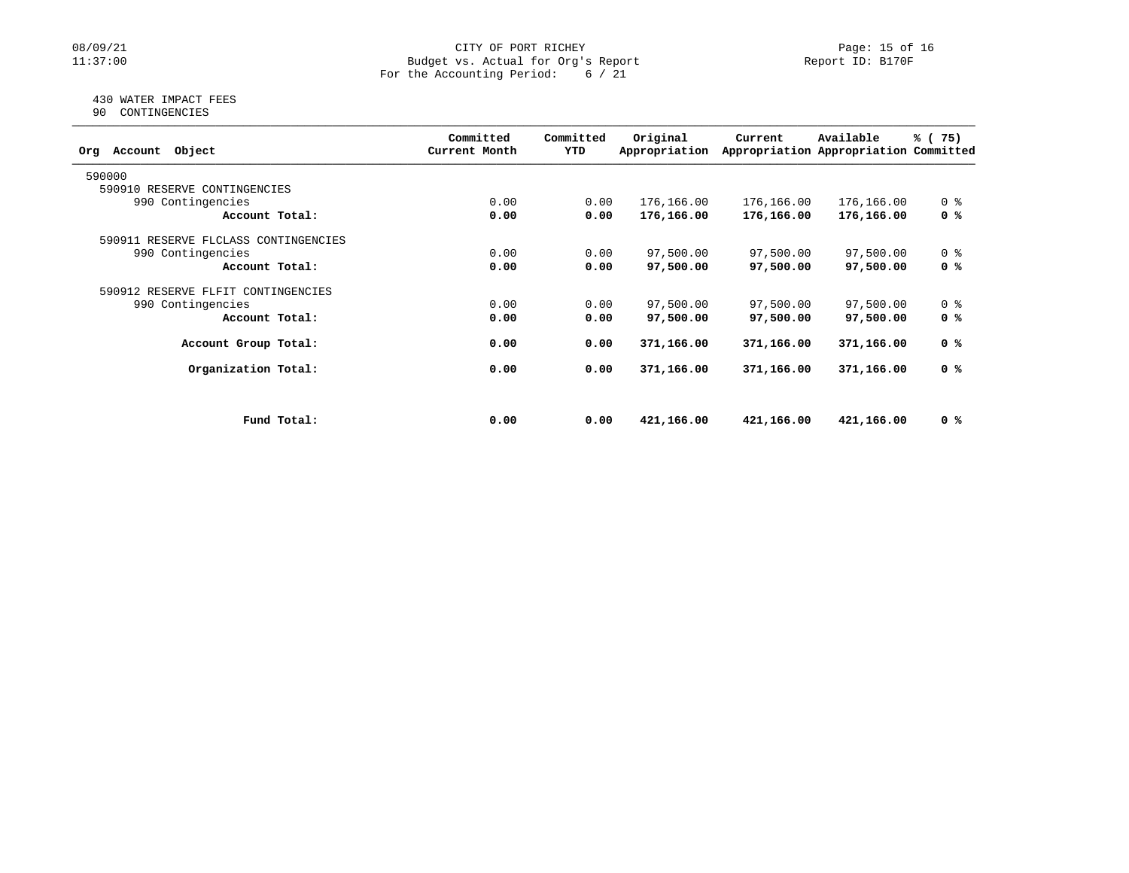# 08/09/21 CITY OF PORT RICHEY Page: 15 of 16<br>Budget vs. Actual for Org's Report Page: 15 of 16<br>Report ID: B170F Budget vs. Actual for Org's Report For the Accounting Period: 6 / 21

### 430 WATER IMPACT FEES 90 CONTINGENCIES

| Committed<br>Current Month | Committed<br>YTD | Original<br>Appropriation | Current                                                              | Available  | % (75)                                                                                                                                                          |
|----------------------------|------------------|---------------------------|----------------------------------------------------------------------|------------|-----------------------------------------------------------------------------------------------------------------------------------------------------------------|
|                            |                  |                           |                                                                      |            |                                                                                                                                                                 |
|                            |                  |                           |                                                                      |            |                                                                                                                                                                 |
| 0.00                       |                  | 176,166.00                |                                                                      | 176,166.00 | 0 <sup>8</sup>                                                                                                                                                  |
| 0.00                       |                  | 176,166.00                |                                                                      | 176,166.00 | 0 %                                                                                                                                                             |
|                            |                  |                           |                                                                      |            |                                                                                                                                                                 |
| 0.00                       |                  | 97,500.00                 |                                                                      | 97,500.00  | 0 <sup>8</sup>                                                                                                                                                  |
| 0.00                       |                  | 97,500.00                 |                                                                      | 97,500.00  | 0 %                                                                                                                                                             |
|                            |                  |                           |                                                                      |            |                                                                                                                                                                 |
| 0.00                       |                  | 97,500.00                 |                                                                      | 97,500.00  | 0 <sup>8</sup>                                                                                                                                                  |
| 0.00                       |                  | 97,500.00                 |                                                                      | 97,500.00  | 0 %                                                                                                                                                             |
| 0.00                       |                  | 371,166.00                |                                                                      | 371,166.00 | 0 %                                                                                                                                                             |
| 0.00                       |                  | 371,166.00                |                                                                      | 371,166.00 | 0 %                                                                                                                                                             |
|                            |                  |                           |                                                                      |            |                                                                                                                                                                 |
| 0.00                       |                  | 421,166.00                |                                                                      | 421,166.00 | 0 %                                                                                                                                                             |
|                            |                  |                           | 0.00<br>0.00<br>0.00<br>0.00<br>0.00<br>0.00<br>0.00<br>0.00<br>0.00 |            | Appropriation Appropriation Committed<br>176,166.00<br>176,166.00<br>97,500.00<br>97,500.00<br>97,500.00<br>97,500.00<br>371,166.00<br>371,166.00<br>421,166.00 |